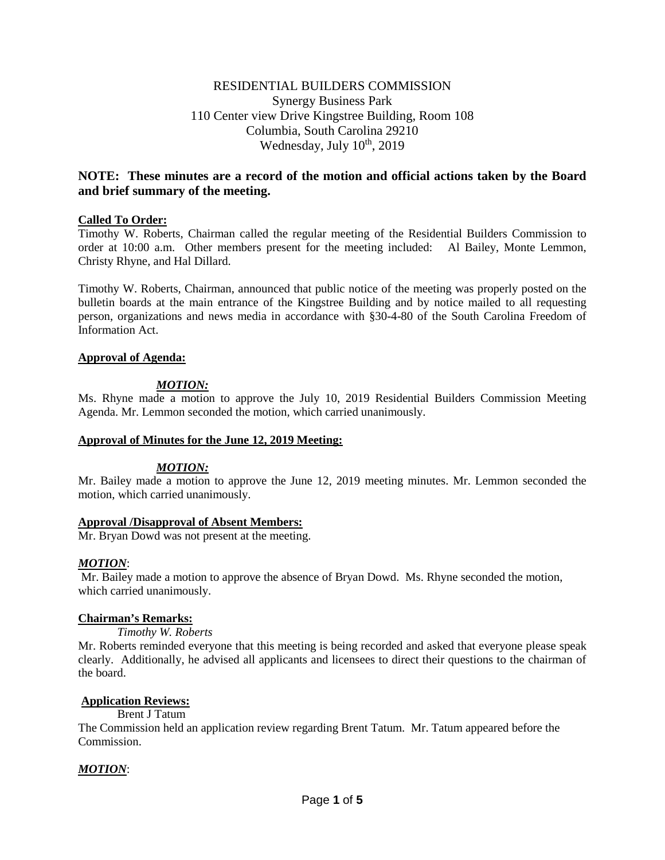# RESIDENTIAL BUILDERS COMMISSION Synergy Business Park 110 Center view Drive Kingstree Building, Room 108 Columbia, South Carolina 29210 Wednesday, July  $10^{th}$ , 2019

# **NOTE: These minutes are a record of the motion and official actions taken by the Board and brief summary of the meeting.**

## **Called To Order:**

Timothy W. Roberts, Chairman called the regular meeting of the Residential Builders Commission to order at 10:00 a.m. Other members present for the meeting included: Al Bailey, Monte Lemmon, Christy Rhyne, and Hal Dillard.

Timothy W. Roberts, Chairman, announced that public notice of the meeting was properly posted on the bulletin boards at the main entrance of the Kingstree Building and by notice mailed to all requesting person, organizations and news media in accordance with §30-4-80 of the South Carolina Freedom of Information Act.

## **Approval of Agenda:**

# *MOTION:*

Ms. Rhyne made a motion to approve the July 10, 2019 Residential Builders Commission Meeting Agenda. Mr. Lemmon seconded the motion, which carried unanimously.

## **Approval of Minutes for the June 12, 2019 Meeting:**

## *MOTION:*

Mr. Bailey made a motion to approve the June 12, 2019 meeting minutes. Mr. Lemmon seconded the motion, which carried unanimously.

## **Approval /Disapproval of Absent Members:**

Mr. Bryan Dowd was not present at the meeting.

## *MOTION*:

Mr. Bailey made a motion to approve the absence of Bryan Dowd. Ms. Rhyne seconded the motion, which carried unanimously.

## **Chairman's Remarks:**

## *Timothy W. Roberts*

Mr. Roberts reminded everyone that this meeting is being recorded and asked that everyone please speak clearly. Additionally, he advised all applicants and licensees to direct their questions to the chairman of the board.

## **Application Reviews:**

## Brent J Tatum

The Commission held an application review regarding Brent Tatum. Mr. Tatum appeared before the Commission.

## *MOTION*: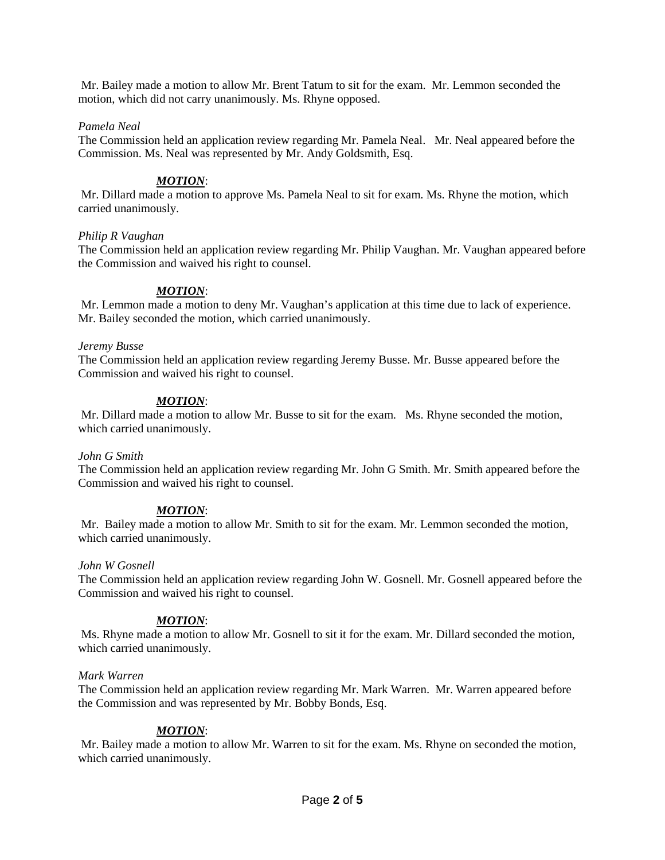Mr. Bailey made a motion to allow Mr. Brent Tatum to sit for the exam. Mr. Lemmon seconded the motion, which did not carry unanimously. Ms. Rhyne opposed.

## *Pamela Neal*

The Commission held an application review regarding Mr. Pamela Neal. Mr. Neal appeared before the Commission. Ms. Neal was represented by Mr. Andy Goldsmith, Esq.

## *MOTION*:

Mr. Dillard made a motion to approve Ms. Pamela Neal to sit for exam. Ms. Rhyne the motion, which carried unanimously.

## *Philip R Vaughan*

The Commission held an application review regarding Mr. Philip Vaughan. Mr. Vaughan appeared before the Commission and waived his right to counsel.

# *MOTION*:

Mr. Lemmon made a motion to deny Mr. Vaughan's application at this time due to lack of experience. Mr. Bailey seconded the motion, which carried unanimously.

## *Jeremy Busse*

The Commission held an application review regarding Jeremy Busse. Mr. Busse appeared before the Commission and waived his right to counsel.

## *MOTION*:

Mr. Dillard made a motion to allow Mr. Busse to sit for the exam. Ms. Rhyne seconded the motion, which carried unanimously.

## *John G Smith*

The Commission held an application review regarding Mr. John G Smith. Mr. Smith appeared before the Commission and waived his right to counsel.

## *MOTION*:

Mr. Bailey made a motion to allow Mr. Smith to sit for the exam. Mr. Lemmon seconded the motion, which carried unanimously.

## *John W Gosnell*

The Commission held an application review regarding John W. Gosnell. Mr. Gosnell appeared before the Commission and waived his right to counsel.

## *MOTION*:

Ms. Rhyne made a motion to allow Mr. Gosnell to sit it for the exam. Mr. Dillard seconded the motion, which carried unanimously.

## *Mark Warren*

The Commission held an application review regarding Mr. Mark Warren. Mr. Warren appeared before the Commission and was represented by Mr. Bobby Bonds, Esq.

## *MOTION*:

Mr. Bailey made a motion to allow Mr. Warren to sit for the exam. Ms. Rhyne on seconded the motion, which carried unanimously.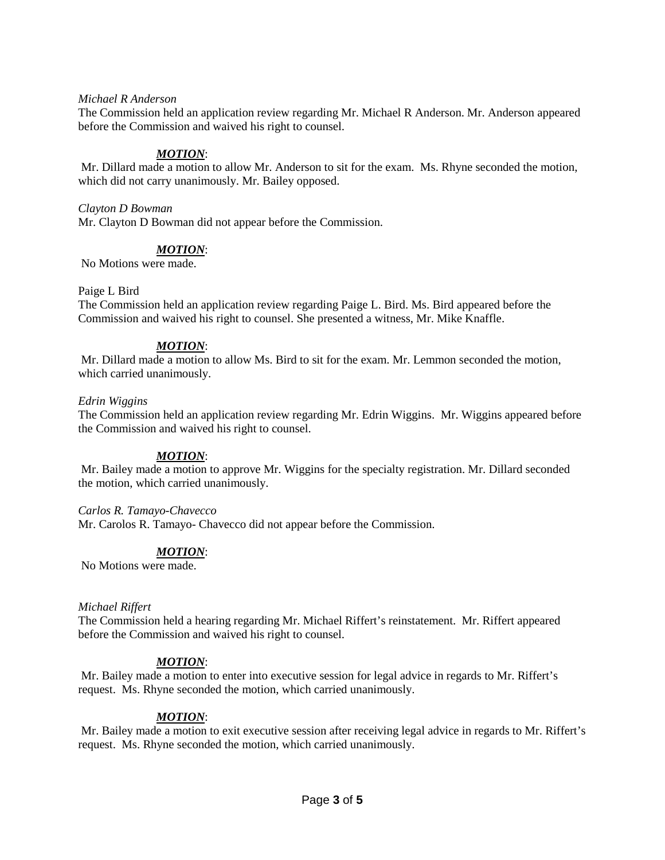## *Michael R Anderson*

The Commission held an application review regarding Mr. Michael R Anderson. Mr. Anderson appeared before the Commission and waived his right to counsel.

## *MOTION*:

Mr. Dillard made a motion to allow Mr. Anderson to sit for the exam. Ms. Rhyne seconded the motion, which did not carry unanimously. Mr. Bailey opposed.

#### *Clayton D Bowman*

Mr. Clayton D Bowman did not appear before the Commission.

## *MOTION*:

No Motions were made.

#### Paige L Bird

The Commission held an application review regarding Paige L. Bird. Ms. Bird appeared before the Commission and waived his right to counsel. She presented a witness, Mr. Mike Knaffle.

## *MOTION*:

Mr. Dillard made a motion to allow Ms. Bird to sit for the exam. Mr. Lemmon seconded the motion, which carried unanimously.

#### *Edrin Wiggins*

The Commission held an application review regarding Mr. Edrin Wiggins. Mr. Wiggins appeared before the Commission and waived his right to counsel.

## *MOTION*:

Mr. Bailey made a motion to approve Mr. Wiggins for the specialty registration. Mr. Dillard seconded the motion, which carried unanimously.

#### *Carlos R. Tamayo-Chavecco*

Mr. Carolos R. Tamayo- Chavecco did not appear before the Commission.

# *MOTION*:

No Motions were made.

#### *Michael Riffert*

The Commission held a hearing regarding Mr. Michael Riffert's reinstatement. Mr. Riffert appeared before the Commission and waived his right to counsel.

## *MOTION*:

Mr. Bailey made a motion to enter into executive session for legal advice in regards to Mr. Riffert's request. Ms. Rhyne seconded the motion, which carried unanimously.

## *MOTION*:

Mr. Bailey made a motion to exit executive session after receiving legal advice in regards to Mr. Riffert's request. Ms. Rhyne seconded the motion, which carried unanimously.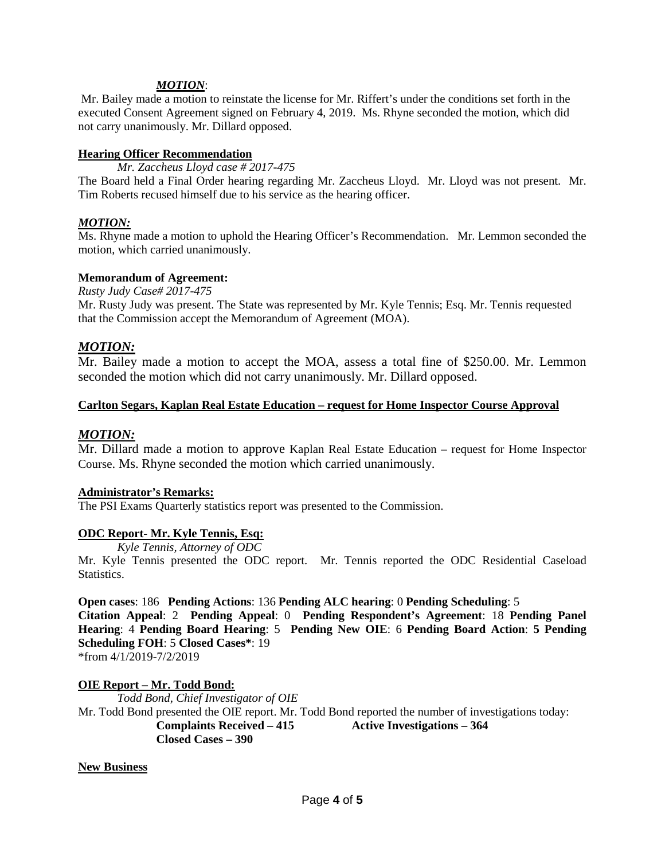## *MOTION*:

Mr. Bailey made a motion to reinstate the license for Mr. Riffert's under the conditions set forth in the executed Consent Agreement signed on February 4, 2019. Ms. Rhyne seconded the motion, which did not carry unanimously. Mr. Dillard opposed.

## **Hearing Officer Recommendation**

*Mr. Zaccheus Lloyd case # 2017-475*

The Board held a Final Order hearing regarding Mr. Zaccheus Lloyd. Mr. Lloyd was not present. Mr. Tim Roberts recused himself due to his service as the hearing officer.

## *MOTION:*

Ms. Rhyne made a motion to uphold the Hearing Officer's Recommendation. Mr. Lemmon seconded the motion, which carried unanimously.

## **Memorandum of Agreement:**

*Rusty Judy Case# 2017-475*

Mr. Rusty Judy was present. The State was represented by Mr. Kyle Tennis; Esq. Mr. Tennis requested that the Commission accept the Memorandum of Agreement (MOA).

# *MOTION:*

Mr. Bailey made a motion to accept the MOA, assess a total fine of \$250.00. Mr. Lemmon seconded the motion which did not carry unanimously. Mr. Dillard opposed.

## **Carlton Segars, Kaplan Real Estate Education – request for Home Inspector Course Approval**

# *MOTION:*

Mr. Dillard made a motion to approve Kaplan Real Estate Education – request for Home Inspector Course. Ms. Rhyne seconded the motion which carried unanimously.

## **Administrator's Remarks:**

The PSI Exams Quarterly statistics report was presented to the Commission.

## **ODC Report- Mr. Kyle Tennis, Esq:**

*Kyle Tennis, Attorney of ODC*

Mr. Kyle Tennis presented the ODC report. Mr. Tennis reported the ODC Residential Caseload Statistics.

## **Open cases**: 186 **Pending Actions**: 136 **Pending ALC hearing**: 0 **Pending Scheduling**: 5

**Citation Appeal**: 2 **Pending Appeal**: 0 **Pending Respondent's Agreement**: 18 **Pending Panel Hearing**: 4 **Pending Board Hearing**: 5 **Pending New OIE**: 6 **Pending Board Action**: **5 Pending Scheduling FOH**: 5 **Closed Cases\***: 19

\*from 4/1/2019-7/2/2019

**OIE Report – Mr. Todd Bond:** *Todd Bond, Chief Investigator of OIE* Mr. Todd Bond presented the OIE report. Mr. Todd Bond reported the number of investigations today: **Complaints Received – 415 Active Investigations – 364 Closed Cases – 390**

**New Business**